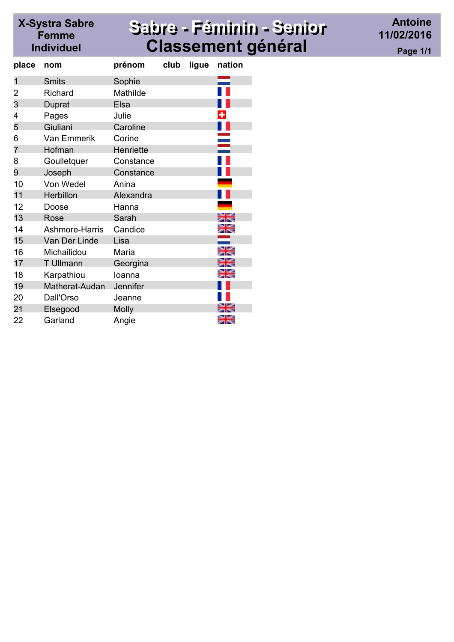## X-Systra Sabre<br>Femme Individuel

## Sabre - Féminin - Senior **Classement général**

**Antoine** 11/02/2016 Page 1/1

| place | nom                | prénom       | club | ligue | nation |
|-------|--------------------|--------------|------|-------|--------|
| 1     | <b>Smits</b>       | Sophie       |      |       |        |
| 2     | <b>Richard</b>     | Mathilde     |      |       |        |
| 3     | Duprat             | Elsa         |      |       |        |
| 4     | Pages              | Julie        |      |       |        |
| 5     | Giuliani           | Caroline     |      |       |        |
| 6     | <b>Van Emmerik</b> | Corine       |      |       |        |
| 7     | Hofman             | Henriette    |      |       |        |
| 8     | Goulletquer        | Constance    |      |       |        |
| 9     | Joseph             | Constance    |      |       |        |
| 10    | Von Wedel          | Anina        |      |       |        |
| 11    | Herbillon          | Alexandra    |      |       |        |
| 12    | Doose              | Hanna        |      |       |        |
| 13    | Rose               | Sarah        |      |       |        |
| 14    | Ashmore-Harris     | Candice      |      |       | ∺      |
| 15    | Van Der Linde      | Lisa         |      |       |        |
| 16    | Michailidou        | Maria        |      |       |        |
| 17    | <b>T</b> Ullmann   | Georgina     |      |       | ⋇⋹     |
| 18    | Karpathiou         | loanna       |      |       | ≝      |
| 19    | Matherat-Audan     | Jennifer     |      |       |        |
| 20    | Dall'Orso          | Jeanne       |      |       |        |
| 21    | Elsegood           | <b>Molly</b> |      |       |        |
| 22    | Garland            | Angie        |      |       |        |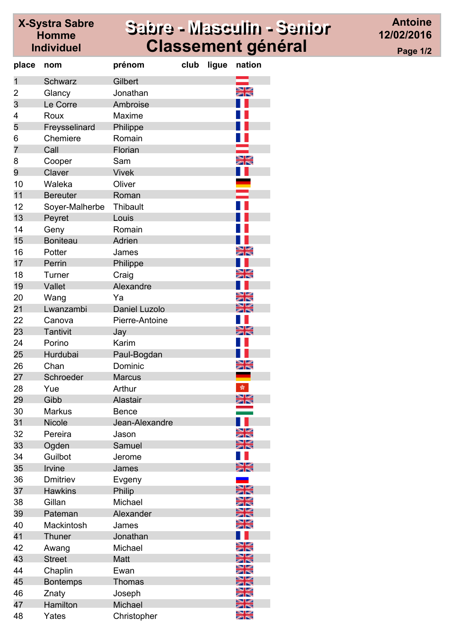## Sabre - Masculin - Senior **Classement général**

**Antoine** 12/02/2016 Page 1/2

| place          | nom             | prénom               | club | ligue | nation |
|----------------|-----------------|----------------------|------|-------|--------|
| 1              | <b>Schwarz</b>  | Gilbert              |      |       |        |
| 2              | Glancy          | Jonathan             |      |       | ≽ਵ     |
| 3              | Le Corre        | Ambroise             |      |       |        |
| 4              | Roux            | <b>Maxime</b>        |      |       |        |
| 5              | Freysselinard   | Philippe             |      |       |        |
| 6              | Chemiere        | Romain               |      |       |        |
| $\overline{7}$ | Call            | Florian              |      |       |        |
| 8              | Cooper          | Sam                  |      |       | ਸ਼ਵ    |
| 9              | Claver          | <b>Vivek</b>         |      |       |        |
| 10             | Waleka          | Oliver               |      |       |        |
| 11             | <b>Bereuter</b> | Roman                |      |       |        |
| 12             | Soyer-Malherbe  | Thibault             |      |       |        |
| 13             | Peyret          | Louis                |      |       |        |
| 14             | Geny            | Romain               |      |       |        |
| 15             | <b>Boniteau</b> | Adrien               |      |       |        |
| 16             | Potter          | James                |      |       | ≍≍     |
| 17             | Perrin          | Philippe             |      |       |        |
| 18             | Turner          | Craig                |      |       | 지역     |
| 19             | Vallet          | Alexandre            |      |       |        |
| 20             | Wang            | Ya                   |      |       | ≍≍     |
| 21             | Lwanzambi       | <b>Daniel Luzolo</b> |      |       | ≽⊯     |
| 22             | Canova          | Pierre-Antoine       |      |       |        |
| 23             | <b>Tantivit</b> | Jay                  |      |       |        |
| 24             | Porino          | Karim                |      |       |        |
| 25             | Hurdubai        | Paul-Bogdan          |      |       |        |
| 26             | Chan            | Dominic              |      |       |        |
| 27             | Schroeder       | <b>Marcus</b>        |      |       |        |
| 28             | Yue             | Arthur               |      |       | sh.    |
| 29             | Gibb            | Alastair             |      |       | 을      |
| 30             | <b>Markus</b>   | <b>Bence</b>         |      |       |        |
| 31             | Nicole          | Jean-Alexandre       |      |       |        |
| 32             | Pereira         | Jason                |      |       | ≍      |
| 33             | Ogden           | Samuel               |      |       | ≍≍     |
| 34             | Guilbot         | Jerome               |      |       |        |
| 35             | Irvine          | James                |      |       |        |
| 36             | Dmitriev        | Evgeny               |      |       |        |
| 37             | <b>Hawkins</b>  | Philip               |      |       |        |
| 38             | Gillan          | Michael              |      |       |        |
| 39             | Pateman         | Alexander            |      |       | স≍     |
| 40             | Mackintosh      | James                |      |       |        |
| 41             | Thuner          | Jonathan             |      |       |        |
| 42             | Awang           | Michael              |      |       |        |
| 43             | <b>Street</b>   | Matt                 |      |       | ≍≍     |
| 44             | Chaplin         | Ewan                 |      |       |        |
| 45             | <b>Bontemps</b> | Thomas               |      |       |        |
| 46             | Znaty           | Joseph               |      |       |        |
| 47             | Hamilton        | Michael              |      |       | XK     |
| 48             | Yates           | Christopher          |      |       | XK     |

**X-Systra Sabre** 

**Homme** 

**Individuel**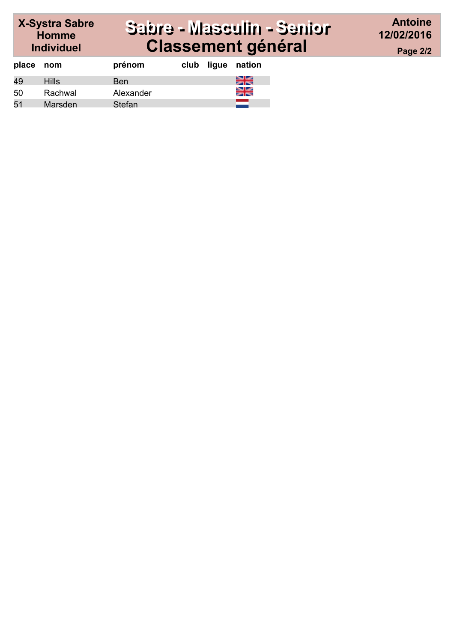#### X-Systra Sabre<br>Homme Sabre - Masculin - Senior **Classement général**

**Antoine** 12/02/2016 Page 2/2

| place nom |              | prénom    | club | ligue | nation |
|-----------|--------------|-----------|------|-------|--------|
| 49        | <b>Hills</b> | Ben       |      |       | ∺€     |
| 50        | Rachwal      | Alexander |      |       | ≽⊯     |
| 51        | Marsden      | Stefan    |      |       |        |

**Individuel**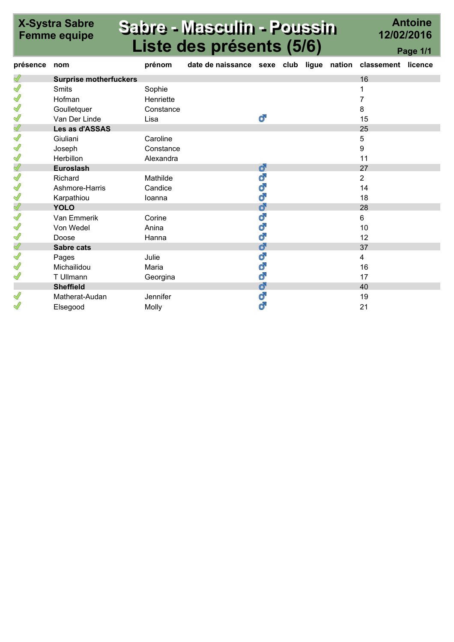# X-Systra Sabre

## Sabre - Masculin - Poussin Liste des présents (5/6)

Antoine 12/02/2016

|          | <b>LISTE des presents (5/6)</b><br>Page 1/1 |           |                                                             |   |  |  |  |    |  |
|----------|---------------------------------------------|-----------|-------------------------------------------------------------|---|--|--|--|----|--|
| présence | nom                                         | prénom    | date de naissance sexe club ligue nation classement licence |   |  |  |  |    |  |
| N        | <b>Surprise motherfuckers</b>               |           |                                                             |   |  |  |  | 16 |  |
| ∜        | <b>Smits</b>                                | Sophie    |                                                             |   |  |  |  |    |  |
| Ĭ        | Hofman                                      | Henriette |                                                             |   |  |  |  | 7  |  |
| S        | Goulletquer                                 | Constance |                                                             |   |  |  |  | 8  |  |
| Ĭ        | Van Der Linde                               | Lisa      |                                                             | ď |  |  |  | 15 |  |
| Ï        | Les as d'ASSAS                              |           |                                                             |   |  |  |  | 25 |  |
| S        | Giuliani                                    | Caroline  |                                                             |   |  |  |  | 5  |  |
| S        | Joseph                                      | Constance |                                                             |   |  |  |  | 9  |  |
| Ĭ        | <b>Herbillon</b>                            | Alexandra |                                                             |   |  |  |  | 11 |  |
| Ï        | <b>Euroslash</b>                            |           |                                                             | ď |  |  |  | 27 |  |
| Ĭ        | Richard                                     | Mathilde  |                                                             | ď |  |  |  | 2  |  |
| ∜        | Ashmore-Harris                              | Candice   |                                                             | ď |  |  |  | 14 |  |
| S        | Karpathiou                                  | loanna    |                                                             | ď |  |  |  | 18 |  |
| Ï        | <b>YOLO</b>                                 |           |                                                             | ď |  |  |  | 28 |  |
| Ĭ        | Van Emmerik                                 | Corine    |                                                             | ď |  |  |  | 6  |  |
| S        | Von Wedel                                   | Anina     |                                                             | ď |  |  |  | 10 |  |
| Ĭ        | Doose                                       | Hanna     |                                                             | ď |  |  |  | 12 |  |
| Ï        | Sabre cats                                  |           |                                                             | ď |  |  |  | 37 |  |
| Ĭ        | Pages                                       | Julie     |                                                             | ď |  |  |  | 4  |  |
| Ĭ        | Michailidou                                 | Maria     |                                                             | ď |  |  |  | 16 |  |
| Ĭ        | T Ullmann                                   | Georgina  |                                                             | ď |  |  |  | 17 |  |
|          | <b>Sheffield</b>                            |           |                                                             | ď |  |  |  | 40 |  |
| S        | Matherat-Audan                              | Jennifer  |                                                             | ď |  |  |  | 19 |  |
| Í        | Elsegood                                    | Molly     |                                                             | ď |  |  |  | 21 |  |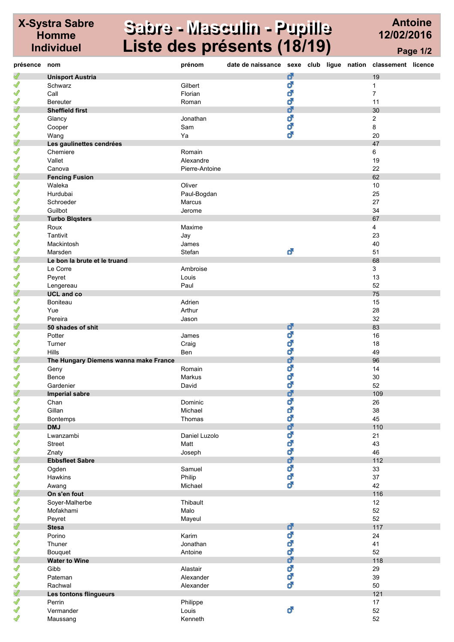#### X-Systra Sabre Homme Individuel

#### Sabre - Masculin - Pupille Liste des présents (18/19)

Antoine 12/02/2016 Page 1/2

| présence nom  |                                       | prénom         | date de naissance sexe club ligue nation classement licence |   |  |                |  |
|---------------|---------------------------------------|----------------|-------------------------------------------------------------|---|--|----------------|--|
| $\mathscr{Q}$ | <b>Unisport Austria</b>               |                |                                                             | ď |  | 19             |  |
| $\mathscr{Q}$ | Schwarz                               | Gilbert        |                                                             | ď |  | 1              |  |
| $\mathscr{Q}$ | Call                                  | Florian        |                                                             | ď |  | $\overline{7}$ |  |
| I             | <b>Bereuter</b>                       | Roman          |                                                             | ď |  | 11             |  |
| $\mathscr{Q}$ | <b>Sheffield first</b>                |                |                                                             | ď |  | 30             |  |
| S             | Glancy                                | Jonathan       |                                                             | ď |  | 2              |  |
| ℐ             | Cooper                                | Sam            |                                                             | ď |  | 8              |  |
| $\mathscr{Q}$ | Wang                                  | Ya             |                                                             | ď |  | 20             |  |
| $\mathscr{Q}$ | Les gaulinettes cendrées              |                |                                                             |   |  | 47             |  |
| $\mathscr{Q}$ | Chemiere                              | Romain         |                                                             |   |  | 6              |  |
| $\mathscr{Q}$ | Vallet                                | Alexandre      |                                                             |   |  | 19             |  |
| $\mathscr{Q}$ | Canova                                | Pierre-Antoine |                                                             |   |  | 22             |  |
| $\mathscr{Q}$ | <b>Fencing Fusion</b>                 |                |                                                             |   |  | 62             |  |
| $\mathscr{Q}$ | Waleka                                | Oliver         |                                                             |   |  | 10             |  |
| $\mathscr{Q}$ | Hurdubai                              | Paul-Bogdan    |                                                             |   |  | 25             |  |
| $\mathscr{Q}$ | Schroeder                             | Marcus         |                                                             |   |  | 27             |  |
| $\mathscr{Q}$ | Guilbot                               | Jerome         |                                                             |   |  | 34             |  |
| $\mathscr{Q}$ | <b>Turbo Blqsters</b>                 |                |                                                             |   |  | 67             |  |
| $\mathscr{Q}$ | Roux                                  | Maxime         |                                                             |   |  | 4              |  |
| $\mathscr{Q}$ | Tantivit                              | Jay            |                                                             |   |  | 23             |  |
| $\mathscr{Q}$ | Mackintosh                            | James          |                                                             |   |  | 40             |  |
| $\mathscr{Q}$ | Marsden                               | Stefan         |                                                             | ď |  | 51             |  |
| $\mathscr{Q}$ | Le bon la brute et le truand          |                |                                                             |   |  | 68             |  |
| $\mathscr{Q}$ | Le Corre                              | Ambroise       |                                                             |   |  | 3              |  |
| $\mathscr{Q}$ | Peyret                                | Louis          |                                                             |   |  | 13             |  |
| $\mathscr{Q}$ |                                       | Paul           |                                                             |   |  | 52             |  |
| $\mathscr{Q}$ | Lengereau<br><b>UCL</b> and co        |                |                                                             |   |  | 75             |  |
| $\mathscr{Q}$ | <b>Boniteau</b>                       | Adrien         |                                                             |   |  | 15             |  |
| S             | Yue                                   | Arthur         |                                                             |   |  | 28             |  |
| $\mathscr{Q}$ | Pereira                               | Jason          |                                                             |   |  | 32             |  |
| $\mathscr{Q}$ | 50 shades of shit                     |                |                                                             | ď |  | 83             |  |
| $\mathscr{Q}$ | Potter                                | James          |                                                             | ď |  | 16             |  |
| $\mathscr{Q}$ | Turner                                | Craig          |                                                             | ď |  | 18             |  |
| $\mathscr{Q}$ | Hills                                 | Ben            |                                                             | ď |  | 49             |  |
| $\mathscr{Q}$ | The Hungary Diemens wanna make France |                |                                                             | ď |  | 96             |  |
| $\mathscr{Q}$ | Geny                                  | Romain         |                                                             | ď |  | 14             |  |
| $\mathscr{Q}$ | Bence                                 | Markus         |                                                             | ď |  | 30             |  |
| I             | Gardenier                             | David          |                                                             | ď |  | 52             |  |
| Ï             | <b>Imperial sabre</b>                 |                |                                                             | ď |  | 109            |  |
| $\mathscr{Q}$ | Chan                                  | Dominic        |                                                             | ď |  | 26             |  |
| $\mathscr{Q}$ | Gillan                                | Michael        |                                                             | ď |  | 38             |  |
| $\mathscr{Q}$ | <b>Bontemps</b>                       | Thomas         |                                                             | ď |  | 45             |  |
| $\mathscr{Q}$ | <b>DMJ</b>                            |                |                                                             | ď |  | 110            |  |
| $\mathscr{Q}$ | Lwanzambi                             | Daniel Luzolo  |                                                             | ď |  | 21             |  |
| $\mathscr{Q}$ | <b>Street</b>                         | Matt           |                                                             | ď |  | 43             |  |
| S             | Znaty                                 | Joseph         |                                                             | ď |  | 46             |  |
| $\mathscr{Q}$ | <b>Ebbsfleet Sabre</b>                |                |                                                             | ď |  | 112            |  |
| $\mathscr{Q}$ | Ogden                                 | Samuel         |                                                             | ď |  | 33             |  |
| $\mathscr{Q}$ | Hawkins                               | Philip         |                                                             | ď |  | 37             |  |
| $\mathscr{Q}$ | Awang                                 | Michael        |                                                             | ď |  | 42             |  |
| $\mathscr{Q}$ | On s'en fout                          |                |                                                             |   |  | 116            |  |
| $\mathscr{Q}$ | Soyer-Malherbe                        | Thibault       |                                                             |   |  | 12             |  |
| $\mathscr{I}$ | Mofakhami                             | Malo           |                                                             |   |  | 52             |  |
| $\mathscr{Q}$ | Peyret                                | Mayeul         |                                                             |   |  | 52             |  |
| Ï             | <b>Stesa</b>                          |                |                                                             | ් |  | 117            |  |
| $\mathscr{Q}$ | Porino                                | Karim          |                                                             | ď |  | 24             |  |
| $\mathscr{Q}$ | Thuner                                | Jonathan       |                                                             | ď |  | 41             |  |
| $\mathscr{Q}$ | Bouquet                               | Antoine        |                                                             | ď |  | 52             |  |
| $\mathscr{Q}$ | <b>Water to Wine</b>                  |                |                                                             | ď |  | 118            |  |
| $\mathscr{Q}$ | Gibb                                  | Alastair       |                                                             | ď |  | 29             |  |
| $\mathscr{Q}$ | Pateman                               | Alexander      |                                                             | ් |  | 39             |  |
| $\mathscr{Q}$ | Rachwal                               | Alexander      |                                                             | ් |  | 50             |  |
| Ï             | Les tontons flingueurs                |                |                                                             |   |  | 121            |  |
| $\mathscr{Q}$ | Perrin                                | Philippe       |                                                             |   |  | 17             |  |
| $\mathscr{Q}$ | Vermander                             | Louis          |                                                             | ď |  | 52             |  |
| $\mathscr{Q}$ | Maussang                              | Kenneth        |                                                             |   |  | 52             |  |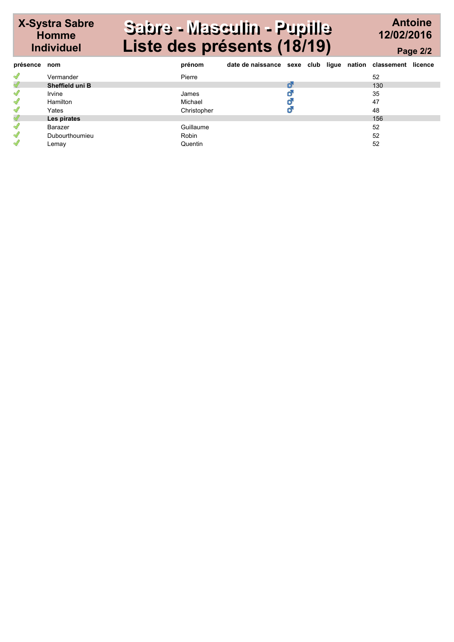#### X-Systra Sabre Sabre - Masculin - Pupille Liste des présents (18/19)

Homme Individuel

#### Antoine 12/02/2016 Page 2/2

| présence      | nom                    | prénom      | date de naissance sexe club ligue nation classement licence |   |  |     |  |
|---------------|------------------------|-------------|-------------------------------------------------------------|---|--|-----|--|
| $\mathscr{Q}$ | Vermander              | Pierre      |                                                             |   |  | 52  |  |
| $\mathscr{Q}$ | <b>Sheffield uni B</b> |             |                                                             | đ |  | 130 |  |
| $\mathscr{Q}$ | Irvine                 | James       |                                                             | O |  | 35  |  |
| $\mathscr{Q}$ | Hamilton               | Michael     |                                                             | Ø |  | 47  |  |
| $\mathscr{Q}$ | Yates                  | Christopher |                                                             |   |  | 48  |  |
| $\mathscr{Q}$ | Les pirates            |             |                                                             |   |  | 156 |  |
| $\mathscr{Q}$ | Barazer                | Guillaume   |                                                             |   |  | 52  |  |
| $\mathscr{Q}$ | Dubourthoumieu         | Robin       |                                                             |   |  | 52  |  |
| $\mathscr{Q}$ | Lemay                  | Quentin     |                                                             |   |  | 52  |  |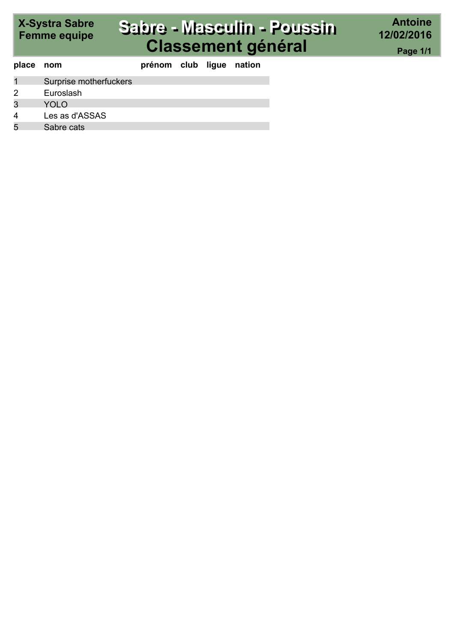# X-Systra Sabre<br>Femme equipe

## Sabre - Masculin - Poussin **Classement général**

| place nom |                        | prénom club ligue nation |  |  |
|-----------|------------------------|--------------------------|--|--|
|           | Surprise motherfuckers |                          |  |  |
|           | Euroslash              |                          |  |  |
| 3         | YOLO                   |                          |  |  |
|           | Les as d'ASSAS         |                          |  |  |
|           | Sabre cats             |                          |  |  |